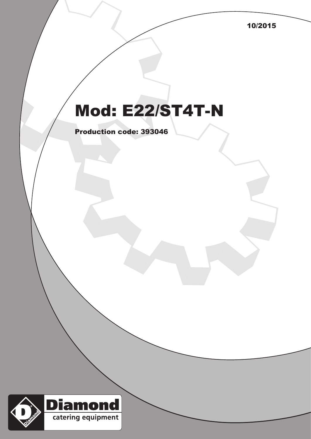10/2015

## Mod: E22/ST4T-N

Production code: 393046

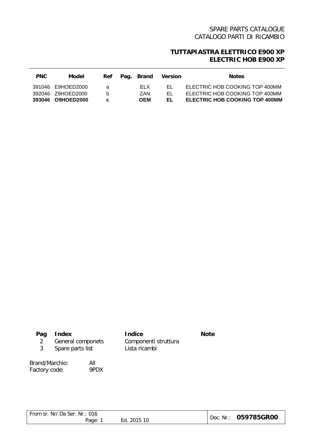## SPARE PARTS CATALOGUE CATALOGO PARTI DI RICAMBIO

## **TUTTAPIASTRA ELETTRICO E900 XP ELECTRIC HOB E900 XP**

| <b>PNC</b> | Model             | Ref          | Pag. Brand | <b>Version</b> | <b>Notes</b>                          |
|------------|-------------------|--------------|------------|----------------|---------------------------------------|
|            | 391046 E9HOED2000 | a            | ELX        | EL.            | ELECTRIC HOB COOKING TOP 400MM        |
|            | 392046 Z9HOED2000 | <sub>n</sub> | ZAN        | EL.            | ELECTRIC HOB COOKING TOP 400MM        |
|            | 393046 O9HOED2000 |              | OEM        | ы.             | <b>ELECTRIC HOB COOKING TOP 400MM</b> |

| Pag                             | Index             |             | <b>Indice</b>        | <b>Note</b> |
|---------------------------------|-------------------|-------------|----------------------|-------------|
|                                 | General componets |             | Componenti struttura |             |
| Spare parts list<br>3           |                   |             | Lista ricambi        |             |
| Brand/Marchio:<br>Factory code: |                   | All<br>9PDX |                      |             |

| From sr. Nr/ Da Ser. Nr.: 016 | Doc. Nr.: 059785GR00 |  |
|-------------------------------|----------------------|--|
| Page: 1                       | Ed. 2015 10          |  |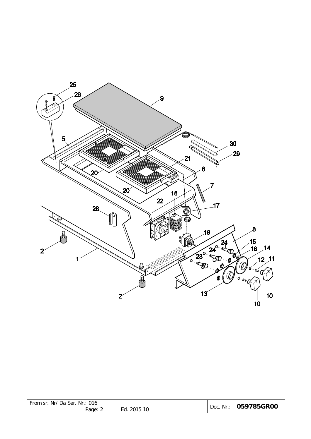

| From sr.<br>Nr/ Da Ser. Nr.: 016 |                |                 |            |
|----------------------------------|----------------|-----------------|------------|
| Page:                            | Ed.<br>2015 10 | $Nr$ .:<br>Doc. | 059785GR00 |